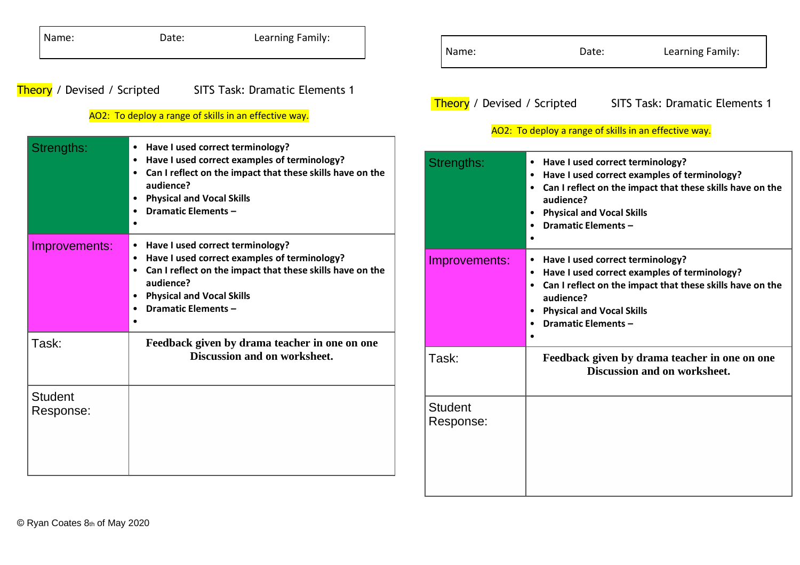| Name:                              | Learning Family:<br>Date:                                                                                                                                                                                                                             | Name:                       | Learning Family:<br>Date:                                                                                                                                                                                                          |
|------------------------------------|-------------------------------------------------------------------------------------------------------------------------------------------------------------------------------------------------------------------------------------------------------|-----------------------------|------------------------------------------------------------------------------------------------------------------------------------------------------------------------------------------------------------------------------------|
| <b>Theory</b> / Devised / Scripted | <b>SITS Task: Dramatic Elements 1</b><br>AO2: To deploy a range of skills in an effective way.                                                                                                                                                        | Theory / Devised / Scripted | <b>SITS Task: Dramatic Elements 1</b><br>AO2: To deploy a range of skills in an effective way.                                                                                                                                     |
| Strengths:                         | • Have I used correct terminology?<br>• Have I used correct examples of terminology?<br>• Can I reflect on the impact that these skills have on the<br>audience?<br>• Physical and Vocal Skills<br><b>Dramatic Elements -</b><br>$\bullet$            | Strengths:                  | • Have I used correct terminology?<br>• Have I used correct examples of terminology?<br>• Can I reflect on the impact that these skills have on the<br>audience?<br><b>Physical and Vocal Skills</b><br><b>Dramatic Elements -</b> |
| Improvements:                      | • Have I used correct terminology?<br>• Have I used correct examples of terminology?<br>Can I reflect on the impact that these skills have on the<br>audience?<br>• Physical and Vocal Skills<br><b>Dramatic Elements -</b><br>$\bullet$<br>$\bullet$ | Improvements:               | • Have I used correct terminology?<br>• Have I used correct examples of terminology?<br>• Can I reflect on the impact that these skills have on the<br>audience?<br>• Physical and Vocal Skills<br><b>Dramatic Elements -</b>      |
| Task:                              | Feedback given by drama teacher in one on one<br>Discussion and on worksheet.                                                                                                                                                                         | Task:                       | Feedback given by drama teacher in one on one<br>Discussion and on worksheet.                                                                                                                                                      |
| <b>Student</b><br>Response:        |                                                                                                                                                                                                                                                       | <b>Student</b><br>Response: |                                                                                                                                                                                                                                    |